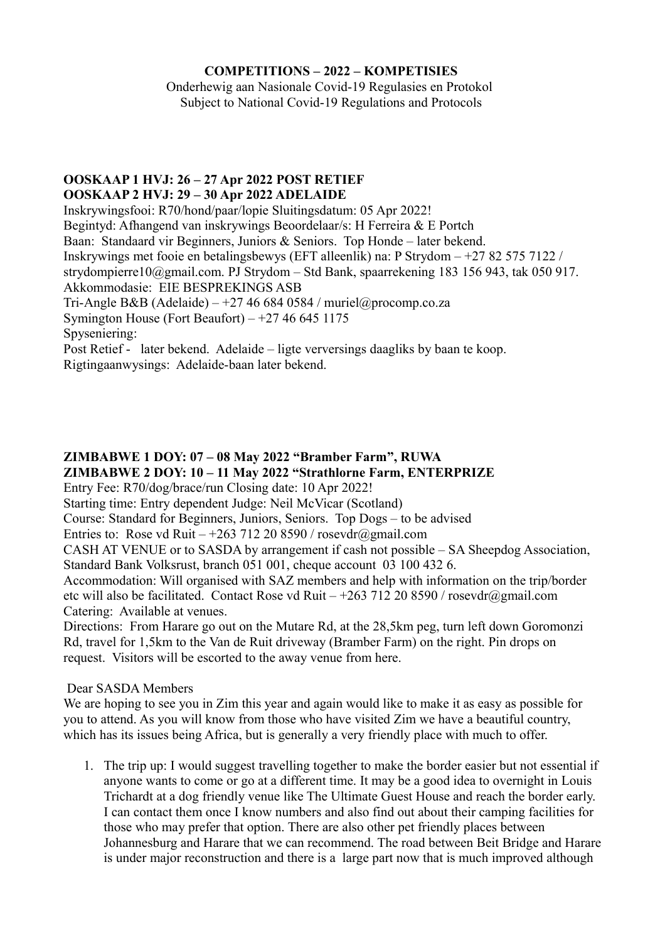#### **COMPETITIONS – 2022 – KOMPETISIES**

Onderhewig aan Nasionale Covid-19 Regulasies en Protokol Subject to National Covid-19 Regulations and Protocols

#### **OOSKAAP 1 HVJ: 26 – 27 Apr 2022 POST RETIEF OOSKAAP 2 HVJ: 29 – 30 Apr 2022 ADELAIDE**

Inskrywingsfooi: R70/hond/paar/lopie Sluitingsdatum: 05 Apr 2022! Begintyd: Afhangend van inskrywings Beoordelaar/s: H Ferreira & E Portch Baan: Standaard vir Beginners, Juniors & Seniors. Top Honde – later bekend. Inskrywings met fooie en betalingsbewys (EFT alleenlik) na: P Strydom – +27 82 575 7122 / strydompierre10@gmail.com. PJ Strydom – Std Bank, spaarrekening 183 156 943, tak 050 917. Akkommodasie: EIE BESPREKINGS ASB Tri-Angle B&B (Adelaide) – +27 46 684 0584 / muriel@procomp.co.za Symington House (Fort Beaufort)  $-127466451175$ Spyseniering: Post Retief - later bekend. Adelaide – ligte verversings daagliks by baan te koop. Rigtingaanwysings: Adelaide-baan later bekend.

# **ZIMBABWE 1 DOY: 07 – 08 May 2022 "Bramber Farm", RUWA ZIMBABWE 2 DOY: 10 – 11 May 2022 "Strathlorne Farm, ENTERPRIZE**

Entry Fee: R70/dog/brace/run Closing date: 10 Apr 2022!

Starting time: Entry dependent Judge: Neil McVicar (Scotland)

Course: Standard for Beginners, Juniors, Seniors. Top Dogs – to be advised

Entries to: Rose vd Ruit – +263 712 20 8590 / rosevdr@gmail.com

CASH AT VENUE or to SASDA by arrangement if cash not possible – SA Sheepdog Association, Standard Bank Volksrust, branch 051 001, cheque account 03 100 432 6.

Accommodation: Will organised with SAZ members and help with information on the trip/border etc will also be facilitated. Contact Rose vd Ruit – +263 712 20 8590 / rosevdr@gmail.com Catering: Available at venues.

Directions: From Harare go out on the Mutare Rd, at the 28,5km peg, turn left down Goromonzi Rd, travel for 1,5km to the Van de Ruit driveway (Bramber Farm) on the right. Pin drops on request. Visitors will be escorted to the away venue from here.

## Dear SASDA Members

We are hoping to see you in Zim this year and again would like to make it as easy as possible for you to attend. As you will know from those who have visited Zim we have a beautiful country, which has its issues being Africa, but is generally a very friendly place with much to offer.

1. The trip up: I would suggest travelling together to make the border easier but not essential if anyone wants to come or go at a different time. It may be a good idea to overnight in Louis Trichardt at a dog friendly venue like The Ultimate Guest House and reach the border early. I can contact them once I know numbers and also find out about their camping facilities for those who may prefer that option. There are also other pet friendly places between Johannesburg and Harare that we can recommend. The road between Beit Bridge and Harare is under major reconstruction and there is a large part now that is much improved although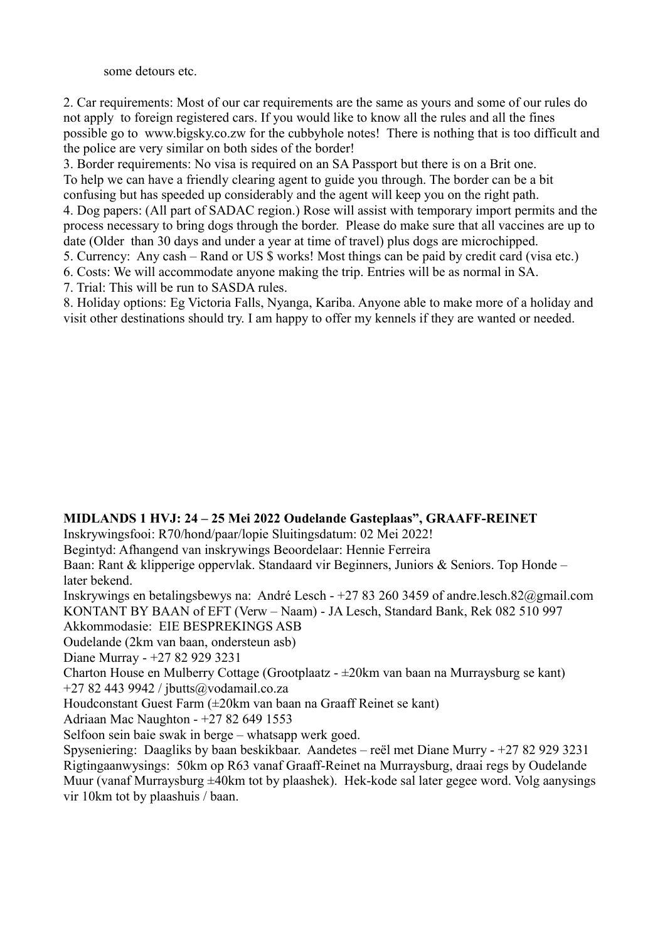some detours etc.

2. Car requirements: Most of our car requirements are the same as yours and some of our rules do not apply to foreign registered cars. If you would like to know all the rules and all the fines possible go to www.bigsky.co.zw for the cubbyhole notes! There is nothing that is too difficult and the police are very similar on both sides of the border!

3. Border requirements: No visa is required on an SA Passport but there is on a Brit one. To help we can have a friendly clearing agent to guide you through. The border can be a bit confusing but has speeded up considerably and the agent will keep you on the right path.

4. Dog papers: (All part of SADAC region.) Rose will assist with temporary import permits and the process necessary to bring dogs through the border. Please do make sure that all vaccines are up to date (Older than 30 days and under a year at time of travel) plus dogs are microchipped.

5. Currency: Any cash – Rand or US \$ works! Most things can be paid by credit card (visa etc.)

6. Costs: We will accommodate anyone making the trip. Entries will be as normal in SA.

7. Trial: This will be run to SASDA rules.

8. Holiday options: Eg Victoria Falls, Nyanga, Kariba. Anyone able to make more of a holiday and visit other destinations should try. I am happy to offer my kennels if they are wanted or needed.

## **MIDLANDS 1 HVJ: 24 – 25 Mei 2022 Oudelande Gasteplaas", GRAAFF-REINET**

Inskrywingsfooi: R70/hond/paar/lopie Sluitingsdatum: 02 Mei 2022!

Begintyd: Afhangend van inskrywings Beoordelaar: Hennie Ferreira

Baan: Rant & klipperige oppervlak. Standaard vir Beginners, Juniors & Seniors. Top Honde – later bekend.

Inskrywings en betalingsbewys na: André Lesch - +27 83 260 3459 of andre.lesch.82@gmail.com KONTANT BY BAAN of EFT (Verw – Naam) - JA Lesch, Standard Bank, Rek 082 510 997

Akkommodasie: EIE BESPREKINGS ASB

Oudelande (2km van baan, ondersteun asb)

Diane Murray - +27 82 929 3231

Charton House en Mulberry Cottage (Grootplaatz - ±20km van baan na Murraysburg se kant) +27 82 443 9942 / jbutts@vodamail.co.za

Houdconstant Guest Farm (±20km van baan na Graaff Reinet se kant)

Adriaan Mac Naughton - +27 82 649 1553

Selfoon sein baie swak in berge – whatsapp werk goed.

Spyseniering: Daagliks by baan beskikbaar. Aandetes – reël met Diane Murry - +27 82 929 3231 Rigtingaanwysings: 50km op R63 vanaf Graaff-Reinet na Murraysburg, draai regs by Oudelande Muur (vanaf Murraysburg ±40km tot by plaashek). Hek-kode sal later gegee word. Volg aanysings vir 10km tot by plaashuis / baan.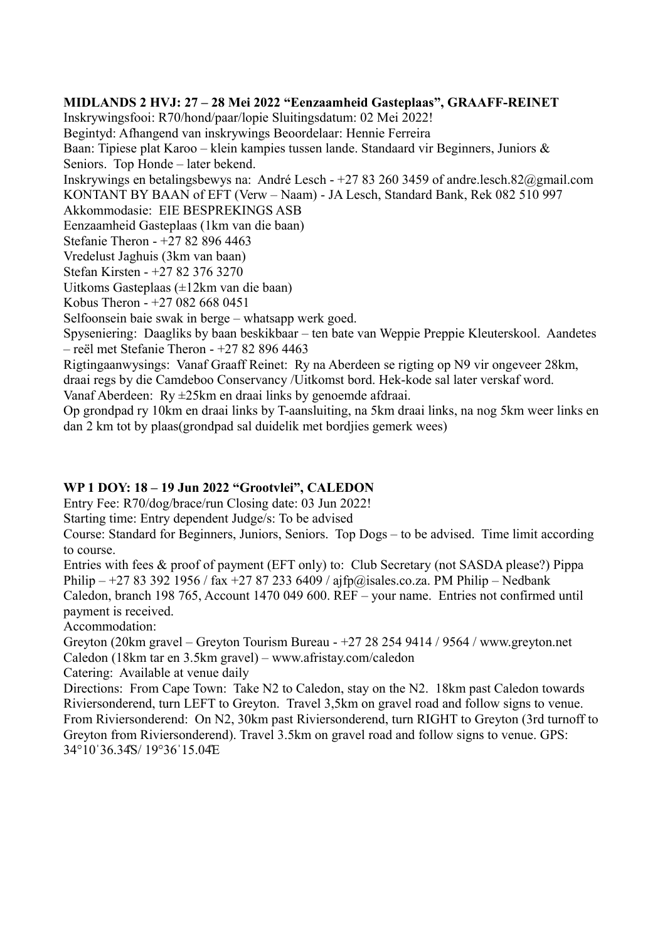#### **MIDLANDS 2 HVJ: 27 – 28 Mei 2022 "Eenzaamheid Gasteplaas", GRAAFF-REINET**

Inskrywingsfooi: R70/hond/paar/lopie Sluitingsdatum: 02 Mei 2022! Begintyd: Afhangend van inskrywings Beoordelaar: Hennie Ferreira Baan: Tipiese plat Karoo – klein kampies tussen lande. Standaard vir Beginners, Juniors & Seniors. Top Honde – later bekend. Inskrywings en betalingsbewys na: André Lesch - +27 83 260 3459 of andre.lesch.82@gmail.com KONTANT BY BAAN of EFT (Verw – Naam) - JA Lesch, Standard Bank, Rek 082 510 997 Akkommodasie: EIE BESPREKINGS ASB Eenzaamheid Gasteplaas (1km van die baan) Stefanie Theron - +27 82 896 4463 Vredelust Jaghuis (3km van baan) Stefan Kirsten - +27 82 376 3270 Uitkoms Gasteplaas (±12km van die baan) Kobus Theron - +27 082 668 0451 Selfoonsein baie swak in berge – whatsapp werk goed. Spyseniering: Daagliks by baan beskikbaar – ten bate van Weppie Preppie Kleuterskool. Aandetes – reël met Stefanie Theron - +27 82 896 4463 Rigtingaanwysings: Vanaf Graaff Reinet: Ry na Aberdeen se rigting op N9 vir ongeveer 28km, draai regs by die Camdeboo Conservancy /Uitkomst bord. Hek-kode sal later verskaf word.

Vanaf Aberdeen: Ry ±25km en draai links by genoemde afdraai.

Op grondpad ry 10km en draai links by T-aansluiting, na 5km draai links, na nog 5km weer links en dan 2 km tot by plaas(grondpad sal duidelik met bordjies gemerk wees)

## **WP 1 DOY: 18 – 19 Jun 2022 "Grootvlei", CALEDON**

Entry Fee: R70/dog/brace/run Closing date: 03 Jun 2022!

Starting time: Entry dependent Judge/s: To be advised

Course: Standard for Beginners, Juniors, Seniors. Top Dogs – to be advised. Time limit according to course.

Entries with fees & proof of payment (EFT only) to: Club Secretary (not SASDA please?) Pippa Philip – +27 83 392 1956 / fax +27 87 233 6409 / ajfp@isales.co.za. PM Philip – Nedbank Caledon, branch 198 765, Account 1470 049 600. REF – your name. Entries not confirmed until payment is received.

Accommodation:

Greyton (20km gravel – Greyton Tourism Bureau - +27 28 254 9414 / 9564 / www.greyton.net Caledon (18km tar en 3.5km gravel) – www.afristay.com/caledon

Catering: Available at venue daily

Directions: From Cape Town: Take N2 to Caledon, stay on the N2. 18km past Caledon towards Riviersonderend, turn LEFT to Greyton. Travel 3,5km on gravel road and follow signs to venue. From Riviersonderend: On N2, 30km past Riviersonderend, turn RIGHT to Greyton (3rd turnoff to Greyton from Riviersonderend). Travel 3.5km on gravel road and follow signs to venue. GPS: 34°10ˈ36.344S/ 19°36ˈ15.044E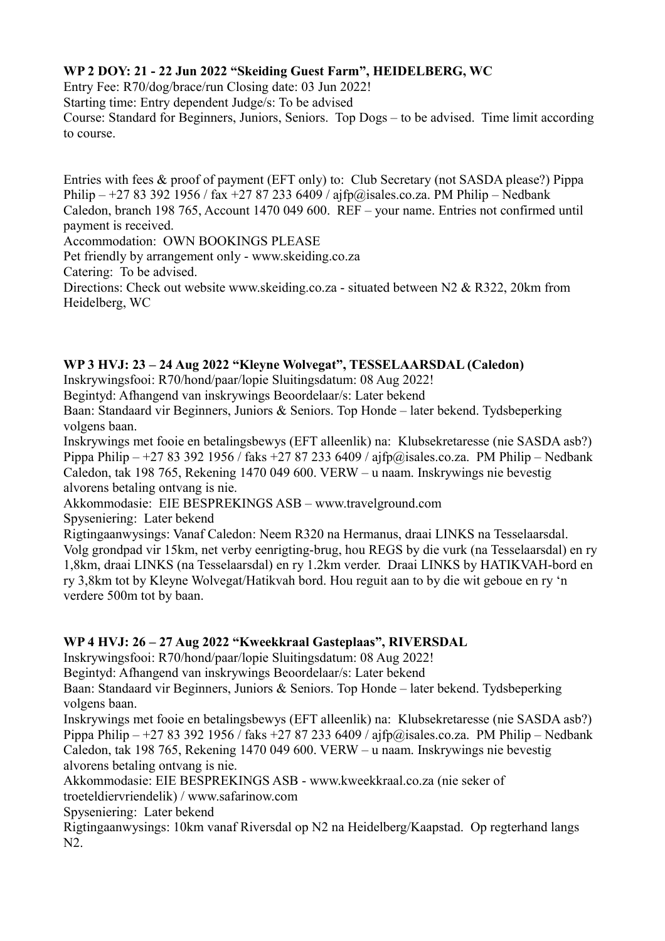# **WP 2 DOY: 21 - 22 Jun 2022 "Skeiding Guest Farm", HEIDELBERG, WC**

Entry Fee: R70/dog/brace/run Closing date: 03 Jun 2022!

Starting time: Entry dependent Judge/s: To be advised

Course: Standard for Beginners, Juniors, Seniors. Top Dogs – to be advised. Time limit according to course.

Entries with fees & proof of payment (EFT only) to: Club Secretary (not SASDA please?) Pippa Philip –  $+27833921956$  / fax  $+27872336409$  / ajfp@isales.co.za. PM Philip – Nedbank Caledon, branch 198 765, Account 1470 049 600. REF – your name. Entries not confirmed until payment is received.

Accommodation: OWN BOOKINGS PLEASE

Pet friendly by arrangement only - www.skeiding.co.za

Catering: To be advised.

Directions: Check out website www.skeiding.co.za - situated between N2 & R322, 20km from Heidelberg, WC

# **WP 3 HVJ: 23 – 24 Aug 2022 "Kleyne Wolvegat", TESSELAARSDAL (Caledon)**

Inskrywingsfooi: R70/hond/paar/lopie Sluitingsdatum: 08 Aug 2022!

Begintyd: Afhangend van inskrywings Beoordelaar/s: Later bekend

Baan: Standaard vir Beginners, Juniors & Seniors. Top Honde – later bekend. Tydsbeperking volgens baan.

Inskrywings met fooie en betalingsbewys (EFT alleenlik) na: Klubsekretaresse (nie SASDA asb?) Pippa Philip – +27 83 392 1956 / faks +27 87 233 6409 / ajfp@isales.co.za. PM Philip – Nedbank Caledon, tak 198 765, Rekening 1470 049 600. VERW – u naam. Inskrywings nie bevestig alvorens betaling ontvang is nie.

Akkommodasie: EIE BESPREKINGS ASB – www.travelground.com

Spyseniering: Later bekend

Rigtingaanwysings: Vanaf Caledon: Neem R320 na Hermanus, draai LINKS na Tesselaarsdal. Volg grondpad vir 15km, net verby eenrigting-brug, hou REGS by die vurk (na Tesselaarsdal) en ry 1,8km, draai LINKS (na Tesselaarsdal) en ry 1.2km verder. Draai LINKS by HATIKVAH-bord en ry 3,8km tot by Kleyne Wolvegat/Hatikvah bord. Hou reguit aan to by die wit geboue en ry 'n verdere 500m tot by baan.

# **WP 4 HVJ: 26 – 27 Aug 2022 "Kweekkraal Gasteplaas", RIVERSDAL**

Inskrywingsfooi: R70/hond/paar/lopie Sluitingsdatum: 08 Aug 2022!

Begintyd: Afhangend van inskrywings Beoordelaar/s: Later bekend

Baan: Standaard vir Beginners, Juniors & Seniors. Top Honde – later bekend. Tydsbeperking volgens baan.

Inskrywings met fooie en betalingsbewys (EFT alleenlik) na: Klubsekretaresse (nie SASDA asb?) Pippa Philip – +27 83 392 1956 / faks +27 87 233 6409 / ajfp@isales.co.za. PM Philip – Nedbank Caledon, tak 198 765, Rekening 1470 049 600. VERW – u naam. Inskrywings nie bevestig alvorens betaling ontvang is nie.

Akkommodasie: EIE BESPREKINGS ASB - www.kweekkraal.co.za (nie seker of

troeteldiervriendelik) / www.safarinow.com

Spyseniering: Later bekend

Rigtingaanwysings: 10km vanaf Riversdal op N2 na Heidelberg/Kaapstad. Op regterhand langs N2.